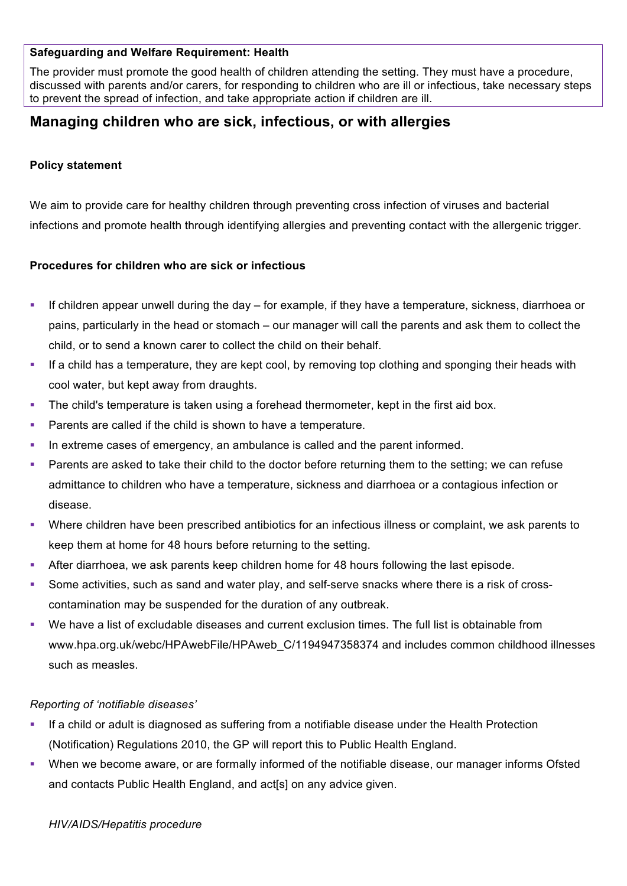#### **Safeguarding and Welfare Requirement: Health**

The provider must promote the good health of children attending the setting. They must have a procedure, discussed with parents and/or carers, for responding to children who are ill or infectious, take necessary steps to prevent the spread of infection, and take appropriate action if children are ill.

# **Managing children who are sick, infectious, or with allergies**

## **Policy statement**

We aim to provide care for healthy children through preventing cross infection of viruses and bacterial infections and promote health through identifying allergies and preventing contact with the allergenic trigger.

## **Procedures for children who are sick or infectious**

- § If children appear unwell during the day for example, if they have a temperature, sickness, diarrhoea or pains, particularly in the head or stomach – our manager will call the parents and ask them to collect the child, or to send a known carer to collect the child on their behalf.
- § If a child has a temperature, they are kept cool, by removing top clothing and sponging their heads with cool water, but kept away from draughts.
- The child's temperature is taken using a forehead thermometer, kept in the first aid box.
- Parents are called if the child is shown to have a temperature.
- In extreme cases of emergency, an ambulance is called and the parent informed.
- Parents are asked to take their child to the doctor before returning them to the setting; we can refuse admittance to children who have a temperature, sickness and diarrhoea or a contagious infection or disease.
- Where children have been prescribed antibiotics for an infectious illness or complaint, we ask parents to keep them at home for 48 hours before returning to the setting.
- § After diarrhoea, we ask parents keep children home for 48 hours following the last episode.
- Some activities, such as sand and water play, and self-serve snacks where there is a risk of crosscontamination may be suspended for the duration of any outbreak.
- § We have a list of excludable diseases and current exclusion times. The full list is obtainable from www.hpa.org.uk/webc/HPAwebFile/HPAweb C/1194947358374 and includes common childhood illnesses such as measles.

#### *Reporting of 'notifiable diseases'*

- If a child or adult is diagnosed as suffering from a notifiable disease under the Health Protection (Notification) Regulations 2010, the GP will report this to Public Health England.
- § When we become aware, or are formally informed of the notifiable disease, our manager informs Ofsted and contacts Public Health England, and act[s] on any advice given.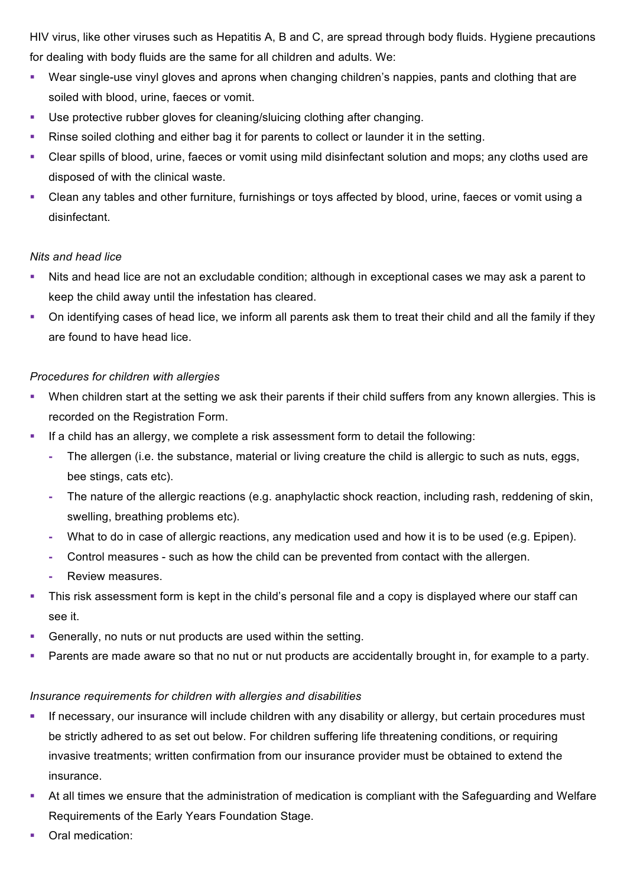HIV virus, like other viruses such as Hepatitis A, B and C, are spread through body fluids. Hygiene precautions for dealing with body fluids are the same for all children and adults. We:

- § Wear single-use vinyl gloves and aprons when changing children's nappies, pants and clothing that are soiled with blood, urine, faeces or vomit.
- Use protective rubber gloves for cleaning/sluicing clothing after changing.
- Rinse soiled clothing and either bag it for parents to collect or launder it in the setting.
- § Clear spills of blood, urine, faeces or vomit using mild disinfectant solution and mops; any cloths used are disposed of with the clinical waste.
- § Clean any tables and other furniture, furnishings or toys affected by blood, urine, faeces or vomit using a disinfectant.

## *Nits and head lice*

- Nits and head lice are not an excludable condition; although in exceptional cases we may ask a parent to keep the child away until the infestation has cleared.
- § On identifying cases of head lice, we inform all parents ask them to treat their child and all the family if they are found to have head lice.

## *Procedures for children with allergies*

- When children start at the setting we ask their parents if their child suffers from any known allergies. This is recorded on the Registration Form.
- If a child has an allergy, we complete a risk assessment form to detail the following:
	- **-** The allergen (i.e. the substance, material or living creature the child is allergic to such as nuts, eggs, bee stings, cats etc).
	- **-** The nature of the allergic reactions (e.g. anaphylactic shock reaction, including rash, reddening of skin, swelling, breathing problems etc).
	- **-** What to do in case of allergic reactions, any medication used and how it is to be used (e.g. Epipen).
	- **-** Control measures such as how the child can be prevented from contact with the allergen.
	- **-** Review measures.
- This risk assessment form is kept in the child's personal file and a copy is displayed where our staff can see it.
- § Generally, no nuts or nut products are used within the setting.
- Parents are made aware so that no nut or nut products are accidentally brought in, for example to a party.

#### *Insurance requirements for children with allergies and disabilities*

- **•** If necessary, our insurance will include children with any disability or allergy, but certain procedures must be strictly adhered to as set out below. For children suffering life threatening conditions, or requiring invasive treatments; written confirmation from our insurance provider must be obtained to extend the insurance.
- At all times we ensure that the administration of medication is compliant with the Safeguarding and Welfare Requirements of the Early Years Foundation Stage.
- Oral medication: